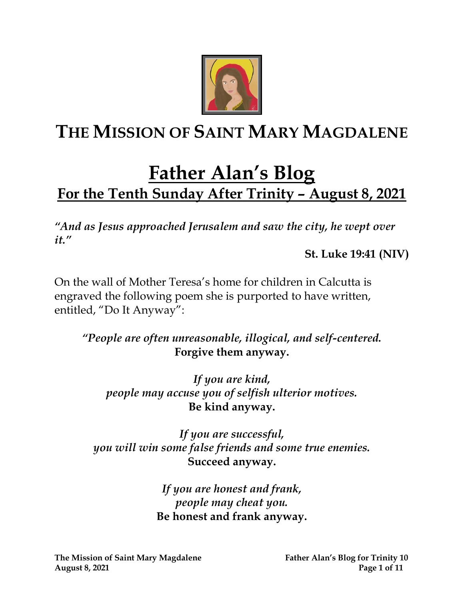

# **THE MISSION OF SAINT MARY MAGDALENE**

# **Father Alan's Blog For the Tenth Sunday After Trinity – August 8, 2021**

*"And as Jesus approached Jerusalem and saw the city, he wept over it."*

**St. Luke 19:41 (NIV)**

On the wall of Mother Teresa's home for children in Calcutta is engraved the following poem she is purported to have written, entitled, "Do It Anyway":

*"People are often unreasonable, illogical, and self-centered.* **Forgive them anyway.**

*If you are kind, people may accuse you of selfish ulterior motives.* **Be kind anyway.**

*If you are successful, you will win some false friends and some true enemies.* **Succeed anyway.**

> *If you are honest and frank, people may cheat you.* **Be honest and frank anyway.**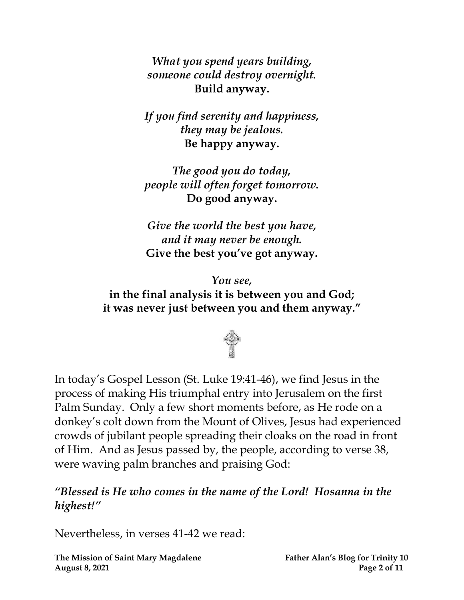*What you spend years building, someone could destroy overnight.* **Build anyway.**

*If you find serenity and happiness, they may be jealous.* **Be happy anyway.**

*The good you do today, people will often forget tomorrow.* **Do good anyway.**

*Give the world the best you have, and it may never be enough.* **Give the best you've got anyway.**

*You see,* **in the final analysis it is between you and God; it was never just between you and them anyway."**



In today's Gospel Lesson (St. Luke 19:41-46), we find Jesus in the process of making His triumphal entry into Jerusalem on the first Palm Sunday. Only a few short moments before, as He rode on a donkey's colt down from the Mount of Olives, Jesus had experienced crowds of jubilant people spreading their cloaks on the road in front of Him. And as Jesus passed by, the people, according to verse 38, were waving palm branches and praising God:

#### *"Blessed is He who comes in the name of the Lord! Hosanna in the highest!"*

Nevertheless, in verses 41-42 we read:

**The Mission of Saint Mary Magdalene Father Alan's Blog for Trinity 10 August 8, 2021 Page 2 of 11**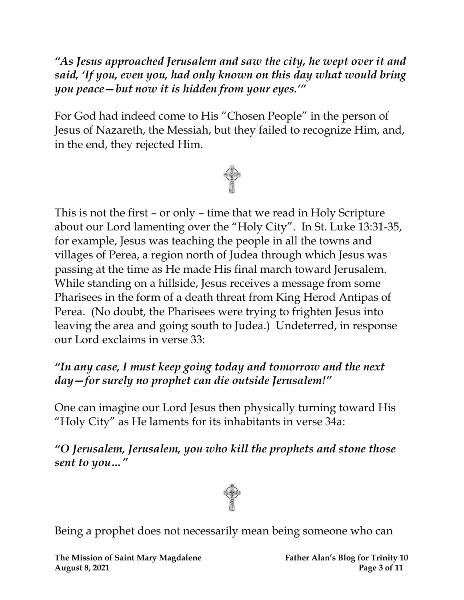*"As Jesus approached Jerusalem and saw the city, he wept over it and said, 'If you, even you, had only known on this day what would bring you peace—but now it is hidden from your eyes.'"*

For God had indeed come to His "Chosen People" in the person of Jesus of Nazareth, the Messiah, but they failed to recognize Him, and, in the end, they rejected Him.



This is not the first – or only – time that we read in Holy Scripture about our Lord lamenting over the "Holy City". In St. Luke 13:31-35, for example, Jesus was teaching the people in all the towns and villages of Perea, a region north of Judea through which Jesus was passing at the time as He made His final march toward Jerusalem. While standing on a hillside, Jesus receives a message from some Pharisees in the form of a death threat from King Herod Antipas of Perea. (No doubt, the Pharisees were trying to frighten Jesus into leaving the area and going south to Judea.) Undeterred, in response our Lord exclaims in verse 33:

### *"In any case, I must keep going today and tomorrow and the next day—for surely no prophet can die outside Jerusalem!"*

One can imagine our Lord Jesus then physically turning toward His "Holy City" as He laments for its inhabitants in verse 34a:

*"O Jerusalem, Jerusalem, you who kill the prophets and stone those sent to you…"*



Being a prophet does not necessarily mean being someone who can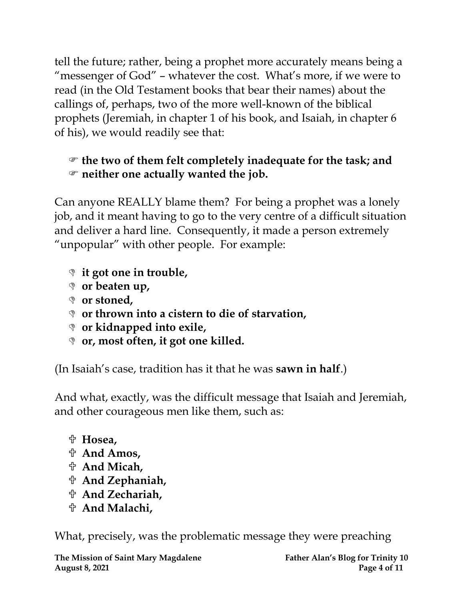tell the future; rather, being a prophet more accurately means being a "messenger of God" – whatever the cost. What's more, if we were to read (in the Old Testament books that bear their names) about the callings of, perhaps, two of the more well-known of the biblical prophets (Jeremiah, in chapter 1 of his book, and Isaiah, in chapter 6 of his), we would readily see that:

### **the two of them felt completely inadequate for the task; and neither one actually wanted the job.**

Can anyone REALLY blame them? For being a prophet was a lonely job, and it meant having to go to the very centre of a difficult situation and deliver a hard line. Consequently, it made a person extremely "unpopular" with other people. For example:

- **it got one in trouble,**
- **or beaten up,**
- **or stoned,**
- **or thrown into a cistern to die of starvation,**
- **or kidnapped into exile,**
- **or, most often, it got one killed.**

(In Isaiah's case, tradition has it that he was **sawn in half**.)

And what, exactly, was the difficult message that Isaiah and Jeremiah, and other courageous men like them, such as:

- **Hosea,**
- **And Amos,**
- **And Micah,**
- **And Zephaniah,**
- **And Zechariah,**
- **And Malachi,**

What, precisely, was the problematic message they were preaching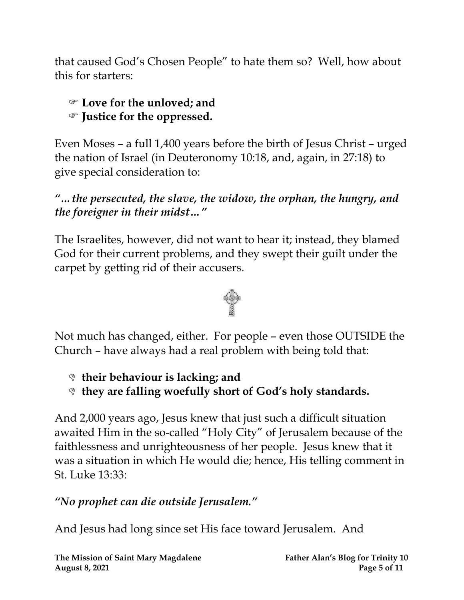that caused God's Chosen People" to hate them so? Well, how about this for starters:

#### **Love for the unloved; and Justice for the oppressed.**

Even Moses – a full 1,400 years before the birth of Jesus Christ – urged the nation of Israel (in Deuteronomy 10:18, and, again, in 27:18) to give special consideration to:

#### *"…the persecuted, the slave, the widow, the orphan, the hungry, and the foreigner in their midst…"*

The Israelites, however, did not want to hear it; instead, they blamed God for their current problems, and they swept their guilt under the carpet by getting rid of their accusers.



Not much has changed, either. For people – even those OUTSIDE the Church – have always had a real problem with being told that:

**their behaviour is lacking; and** 

**they are falling woefully short of God's holy standards.**

And 2,000 years ago, Jesus knew that just such a difficult situation awaited Him in the so-called "Holy City" of Jerusalem because of the faithlessness and unrighteousness of her people. Jesus knew that it was a situation in which He would die; hence, His telling comment in St. Luke 13:33:

## *"No prophet can die outside Jerusalem."*

And Jesus had long since set His face toward Jerusalem. And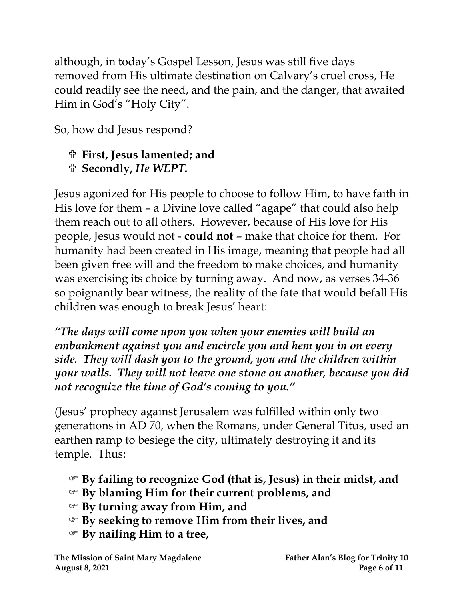although, in today's Gospel Lesson, Jesus was still five days removed from His ultimate destination on Calvary's cruel cross, He could readily see the need, and the pain, and the danger, that awaited Him in God's "Holy City".

So, how did Jesus respond?

## **First, Jesus lamented; and**

**Secondly,** *He WEPT.*

Jesus agonized for His people to choose to follow Him, to have faith in His love for them – a Divine love called "agape" that could also help them reach out to all others. However, because of His love for His people, Jesus would not - **could not** – make that choice for them. For humanity had been created in His image, meaning that people had all been given free will and the freedom to make choices, and humanity was exercising its choice by turning away. And now, as verses 34-36 so poignantly bear witness, the reality of the fate that would befall His children was enough to break Jesus' heart:

*"The days will come upon you when your enemies will build an embankment against you and encircle you and hem you in on every side. They will dash you to the ground, you and the children within your walls. They will not leave one stone on another, because you did not recognize the time of God's coming to you."*

(Jesus' prophecy against Jerusalem was fulfilled within only two generations in AD 70, when the Romans, under General Titus, used an earthen ramp to besiege the city, ultimately destroying it and its temple. Thus:

- **By failing to recognize God (that is, Jesus) in their midst, and**
- **By blaming Him for their current problems, and**
- **By turning away from Him, and**
- **By seeking to remove Him from their lives, and**
- **By nailing Him to a tree,**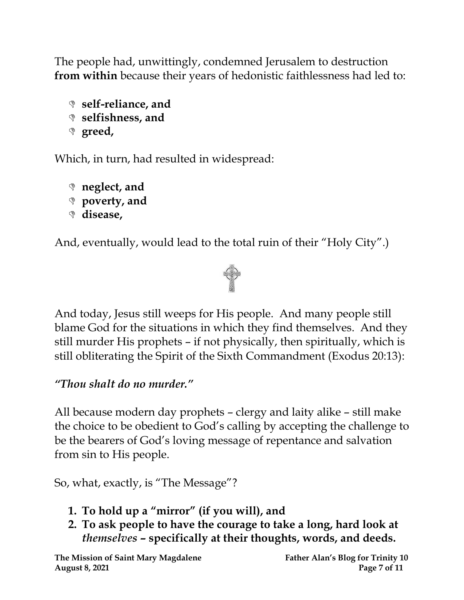The people had, unwittingly, condemned Jerusalem to destruction **from within** because their years of hedonistic faithlessness had led to:

```
 self-reliance, and
```
- **selfishness, and**
- **greed,**

Which, in turn, had resulted in widespread:

```
 neglect, and 
 poverty, and 
 disease,
```
And, eventually, would lead to the total ruin of their "Holy City".)



And today, Jesus still weeps for His people. And many people still blame God for the situations in which they find themselves. And they still murder His prophets – if not physically, then spiritually, which is still obliterating the Spirit of the Sixth Commandment (Exodus 20:13):

### *"Thou shalt do no murder."*

All because modern day prophets – clergy and laity alike – still make the choice to be obedient to God's calling by accepting the challenge to be the bearers of God's loving message of repentance and salvation from sin to His people.

So, what, exactly, is "The Message"?

- **1. To hold up a "mirror" (if you will), and**
- **2. To ask people to have the courage to take a long, hard look at**  *themselves* **– specifically at their thoughts, words, and deeds.**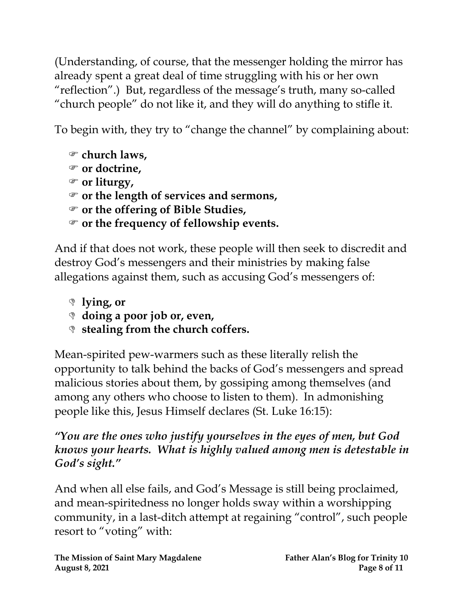(Understanding, of course, that the messenger holding the mirror has already spent a great deal of time struggling with his or her own "reflection".) But, regardless of the message's truth, many so-called "church people" do not like it, and they will do anything to stifle it.

To begin with, they try to "change the channel" by complaining about:

```
 church laws,
```

```
 or doctrine,
```

```
 or liturgy,
```

```
 or the length of services and sermons,
```

```
 or the offering of Bible Studies,
```

```
 or the frequency of fellowship events.
```
And if that does not work, these people will then seek to discredit and destroy God's messengers and their ministries by making false allegations against them, such as accusing God's messengers of:

```
 lying, or
```

```
 doing a poor job or, even,
```

```
 stealing from the church coffers.
```
Mean-spirited pew-warmers such as these literally relish the opportunity to talk behind the backs of God's messengers and spread malicious stories about them, by gossiping among themselves (and among any others who choose to listen to them). In admonishing people like this, Jesus Himself declares (St. Luke 16:15):

#### *"You are the ones who justify yourselves in the eyes of men, but God knows your hearts. What is highly valued among men is detestable in God's sight."*

And when all else fails, and God's Message is still being proclaimed, and mean-spiritedness no longer holds sway within a worshipping community, in a last-ditch attempt at regaining "control", such people resort to "voting" with: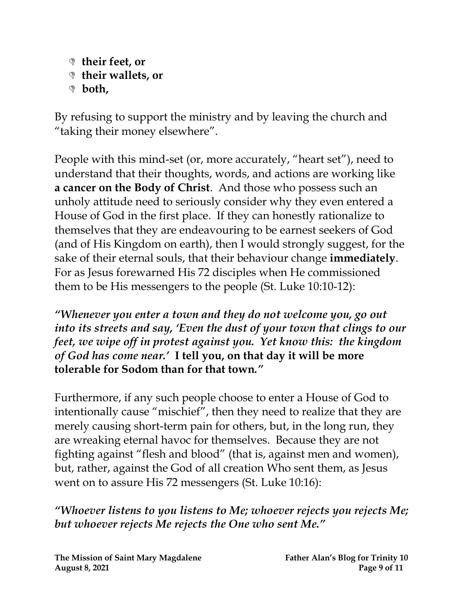**their feet, or their wallets, or both,**

By refusing to support the ministry and by leaving the church and "taking their money elsewhere".

People with this mind-set (or, more accurately, "heart set"), need to understand that their thoughts, words, and actions are working like **a cancer on the Body of Christ**. And those who possess such an unholy attitude need to seriously consider why they even entered a House of God in the first place. If they can honestly rationalize to themselves that they are endeavouring to be earnest seekers of God (and of His Kingdom on earth), then I would strongly suggest, for the sake of their eternal souls, that their behaviour change **immediately**. For as Jesus forewarned His 72 disciples when He commissioned them to be His messengers to the people (St. Luke 10:10-12):

*"Whenever you enter a town and they do not welcome you, go out into its streets and say, 'Even the dust of your town that clings to our feet, we wipe off in protest against you. Yet know this: the kingdom of God has come near.'* **I tell you, on that day it will be more tolerable for Sodom than for that town***."*

Furthermore, if any such people choose to enter a House of God to intentionally cause "mischief", then they need to realize that they are merely causing short-term pain for others, but, in the long run, they are wreaking eternal havoc for themselves. Because they are not fighting against "flesh and blood" (that is, against men and women), but, rather, against the God of all creation Who sent them, as Jesus went on to assure His 72 messengers (St. Luke 10:16):

*"Whoever listens to you listens to Me; whoever rejects you rejects Me; but whoever rejects Me rejects the One who sent Me."*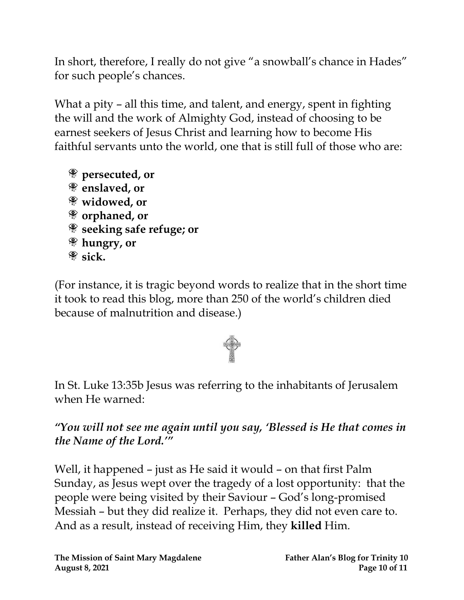In short, therefore, I really do not give "a snowball's chance in Hades" for such people's chances.

What a pity – all this time, and talent, and energy, spent in fighting the will and the work of Almighty God, instead of choosing to be earnest seekers of Jesus Christ and learning how to become His faithful servants unto the world, one that is still full of those who are:

**persecuted, or enslaved, or widowed, or orphaned, or seeking safe refuge; or hungry, or sick.**

(For instance, it is tragic beyond words to realize that in the short time it took to read this blog, more than 250 of the world's children died because of malnutrition and disease.)



In St. Luke 13:35b Jesus was referring to the inhabitants of Jerusalem when He warned:

*"You will not see me again until you say, 'Blessed is He that comes in the Name of the Lord.'"*

Well, it happened – just as He said it would – on that first Palm Sunday, as Jesus wept over the tragedy of a lost opportunity: that the people were being visited by their Saviour – God's long-promised Messiah – but they did realize it. Perhaps, they did not even care to. And as a result, instead of receiving Him, they **killed** Him.